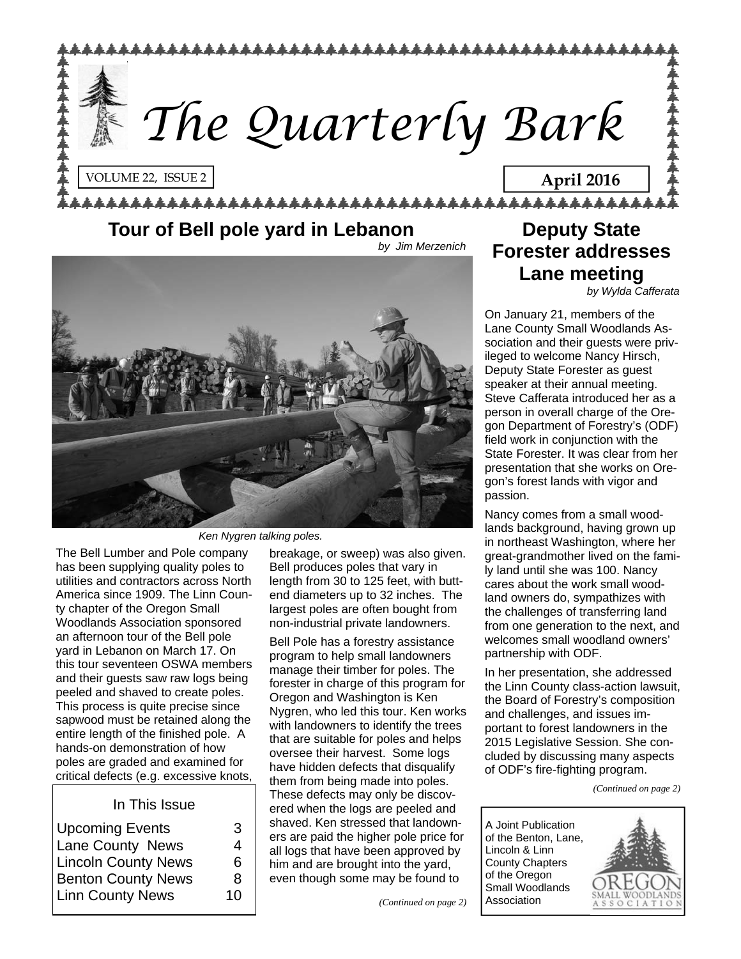

### **Tour of Bell pole yard in Lebanon**

*by Jim Merzenich* 



*Ken Nygren talking poles.* 

The Bell Lumber and Pole company has been supplying quality poles to utilities and contractors across North America since 1909. The Linn County chapter of the Oregon Small Woodlands Association sponsored an afternoon tour of the Bell pole yard in Lebanon on March 17. On this tour seventeen OSWA members and their guests saw raw logs being peeled and shaved to create poles. This process is quite precise since sapwood must be retained along the entire length of the finished pole. A hands-on demonstration of how poles are graded and examined for critical defects (e.g. excessive knots,

#### In This Issue

| <b>Upcoming Events</b>     | З  |
|----------------------------|----|
| Lane County News           | 4  |
| <b>Lincoln County News</b> | 6  |
| <b>Benton County News</b>  | 8  |
| <b>Linn County News</b>    | 10 |

breakage, or sweep) was also given. Bell produces poles that vary in length from 30 to 125 feet, with buttend diameters up to 32 inches. The largest poles are often bought from non-industrial private landowners.

Bell Pole has a forestry assistance program to help small landowners manage their timber for poles. The forester in charge of this program for Oregon and Washington is Ken Nygren, who led this tour. Ken works with landowners to identify the trees that are suitable for poles and helps oversee their harvest. Some logs have hidden defects that disqualify them from being made into poles. These defects may only be discovered when the logs are peeled and shaved. Ken stressed that landowners are paid the higher pole price for all logs that have been approved by him and are brought into the yard, even though some may be found to

## **Deputy State Forester addresses Lane meeting**

*by Wylda Cafferata* 

On January 21, members of the Lane County Small Woodlands Association and their guests were privileged to welcome Nancy Hirsch, Deputy State Forester as guest speaker at their annual meeting. Steve Cafferata introduced her as a person in overall charge of the Oregon Department of Forestry's (ODF) field work in conjunction with the State Forester. It was clear from her presentation that she works on Oregon's forest lands with vigor and passion.

Nancy comes from a small woodlands background, having grown up in northeast Washington, where her great-grandmother lived on the family land until she was 100. Nancy cares about the work small woodland owners do, sympathizes with the challenges of transferring land from one generation to the next, and welcomes small woodland owners' partnership with ODF.

In her presentation, she addressed the Linn County class-action lawsuit, the Board of Forestry's composition and challenges, and issues important to forest landowners in the 2015 Legislative Session. She concluded by discussing many aspects of ODF's fire-fighting program.

*(Continued on page 2)* 

A Joint Publication of the Benton, Lane, Lincoln & Linn County Chapters of the Oregon Small Woodlands Association

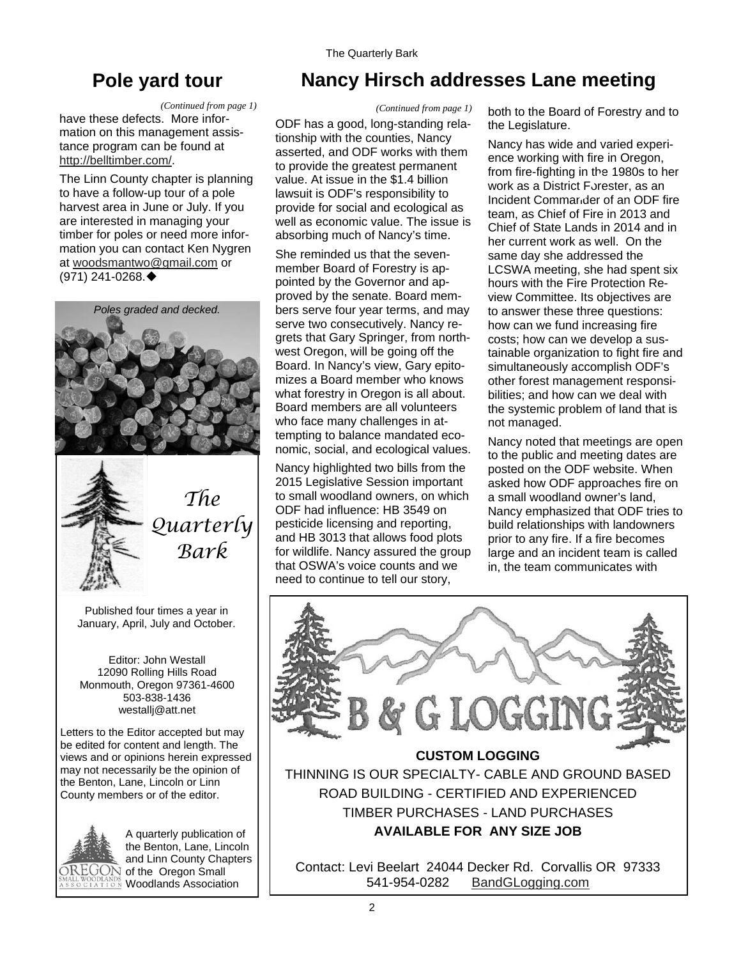## **Pole yard tour**

#### *(Continued from page 1)*

have these defects. More information on this management assistance program can be found at <http://belltimber.com/>.

The Linn County chapter is planning to have a follow-up tour of a pole harvest area in June or July. If you are interested in managing your timber for poles or need more information you can contact Ken Nygren at [woodsmantwo@gmail.com](mailto:woodsmantwo@gmail.com) or (971) 241-0268.





*The Quarterly Bark* 

Published four times a year in January, April, July and October.

Editor: John Westall 12090 Rolling Hills Road Monmouth, Oregon 97361-4600 503-838-1436 westallj@att.net

Letters to the Editor accepted but may be edited for content and length. The views and or opinions herein expressed may not necessarily be the opinion of the Benton, Lane, Lincoln or Linn County members or of the editor.



A quarterly publication of the Benton, Lane, Lincoln and Linn County Chapters  $\widehat{\mathrm{OREGON}}$  of the Oregon Small **Woodlands Association** 

## **Nancy Hirsch addresses Lane meeting**

ODF has a good, long-standing relationship with the counties, Nancy asserted, and ODF works with them to provide the greatest permanent value. At issue in the \$1.4 billion lawsuit is ODF's responsibility to provide for social and ecological as well as economic value. The issue is absorbing much of Nancy's time. *(Continued from page 1)* 

She reminded us that the sevenmember Board of Forestry is appointed by the Governor and approved by the senate. Board members serve four year terms, and may serve two consecutively. Nancy regrets that Gary Springer, from northwest Oregon, will be going off the Board. In Nancy's view, Gary epitomizes a Board member who knows what forestry in Oregon is all about. Board members are all volunteers who face many challenges in attempting to balance mandated economic, social, and ecological values.

Nancy highlighted two bills from the 2015 Legislative Session important to small woodland owners, on which ODF had influence: HB 3549 on pesticide licensing and reporting, and HB 3013 that allows food plots for wildlife. Nancy assured the group that OSWA's voice counts and we need to continue to tell our story,

both to the Board of Forestry and to the Legislature.

Nancy has wide and varied experience working with fire in Oregon, from fire-fighting in the 1980s to her work as a District Forester, as an Incident Commander of an ODF fire team, as Chief of Fire in 2013 and Chief of State Lands in 2014 and in her current work as well. On the same day she addressed the LCSWA meeting, she had spent six hours with the Fire Protection Review Committee. Its objectives are to answer these three questions: how can we fund increasing fire costs; how can we develop a sustainable organization to fight fire and simultaneously accomplish ODF's other forest management responsibilities; and how can we deal with the systemic problem of land that is not managed.

Nancy noted that meetings are open to the public and meeting dates are posted on the ODF website. When asked how ODF approaches fire on a small woodland owner's land, Nancy emphasized that ODF tries to build relationships with landowners prior to any fire. If a fire becomes large and an incident team is called in, the team communicates with



Contact: Levi Beelart 24044 Decker Rd. Corvallis OR 97333 541-954-0282 [BandGLogging.com](http://bandglogging.com/)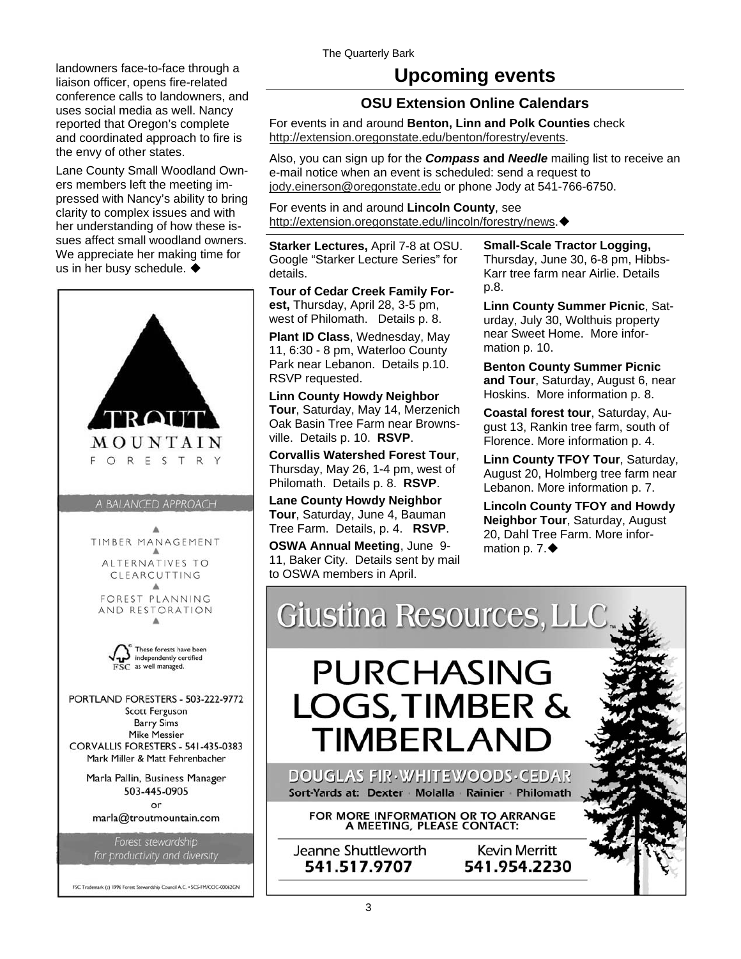landowners face-to-face through a liaison officer, opens fire-related conference calls to landowners, and uses social media as well. Nancy reported that Oregon's complete and coordinated approach to fire is the envy of other states.

Lane County Small Woodland Owners members left the meeting impressed with Nancy's ability to bring clarity to complex issues and with her understanding of how these issues affect small woodland owners. We appreciate her making time for us in her busy schedule.  $\blacklozenge$ 



### **Upcoming events**

#### **OSU Extension Online Calendars**

For events in and around **Benton, Linn and Polk Counties** check [http://extension.oregonstate.edu/benton/forestry/events.](http://extension.oregonstate.edu/benton/forestry/events)

Also, you can sign up for the *Compass* **and** *Needle* mailing list to receive an e-mail notice when an event is scheduled: send a request to [jody.einerson@oregonstate.edu](mailto:jody.einerson@oregonstate.edu) or phone Jody at 541-766-6750.

For events in and around **Lincoln County**, see [http://extension.oregonstate.edu/lincoln/forestry/news.](http://extension.oregonstate.edu/lincoln/forestry/news)

**Starker Lectures,** April 7-8 at OSU. Google "Starker Lecture Series" for details.

**Tour of Cedar Creek Family Forest,** Thursday, April 28, 3-5 pm, west of Philomath. Details p. 8.

**Plant ID Class**, Wednesday, May 11, 6:30 - 8 pm, Waterloo County Park near Lebanon. Details p.10. RSVP requested.

**Linn County Howdy Neighbor Tour**, Saturday, May 14, Merzenich Oak Basin Tree Farm near Brownsville. Details p. 10. **RSVP**.

**Corvallis Watershed Forest Tour**, Thursday, May 26, 1-4 pm, west of Philomath. Details p. 8. **RSVP**.

**Lane County Howdy Neighbor Tour**, Saturday, June 4, Bauman Tree Farm. Details, p. 4. **RSVP**.

**OSWA Annual Meeting**, June 9- 11, Baker City. Details sent by mail to OSWA members in April.

**Small-Scale Tractor Logging,**  Thursday, June 30, 6-8 pm, Hibbs-Karr tree farm near Airlie. Details p.8.

**Linn County Summer Picnic**, Saturday, July 30, Wolthuis property near Sweet Home. More information p. 10.

**Benton County Summer Picnic and Tour**, Saturday, August 6, near Hoskins. More information p. 8.

**Coastal forest tour**, Saturday, August 13, Rankin tree farm, south of Florence. More information p. 4.

**Linn County TFOY Tour**, Saturday, August 20, Holmberg tree farm near Lebanon. More information p. 7.

**Lincoln County TFOY and Howdy Neighbor Tour**, Saturday, August 20, Dahl Tree Farm. More information p.  $7.$ 

Giustina Resources, LLC

# **PURCHASING LOGS, TIMBER & TIMBERLAND**

DOUGLAS FIR WHITEWOODS CEDAR Sort-Yards at: Dexter Molalla Rainier Philomath

FOR MORE INFORMATION OR TO ARRANGE<br>A MEETING, PLEASE CONTACT:

Jeanne Shuttleworth 541.517.9707

**Kevin Merritt** 541.954.2230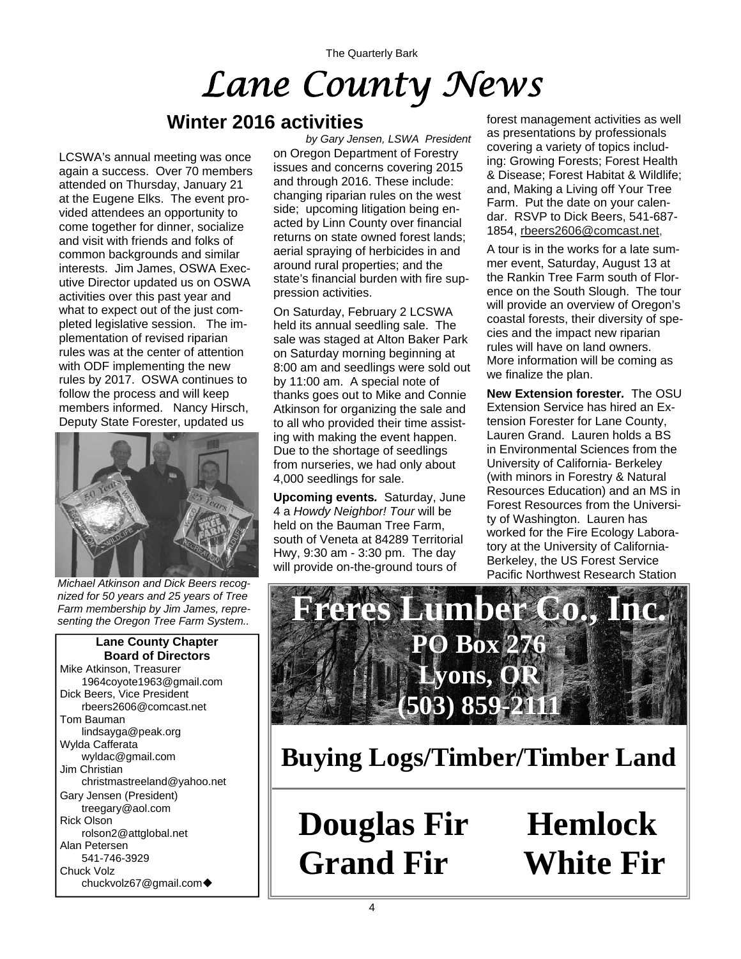The Quarterly Bark *Lane County News* 

### **Winter 2016 activities**

LCSWA's annual meeting was once again a success. Over 70 members attended on Thursday, January 21 at the Eugene Elks. The event provided attendees an opportunity to come together for dinner, socialize and visit with friends and folks of common backgrounds and similar interests. Jim James, OSWA Executive Director updated us on OSWA activities over this past year and what to expect out of the just completed legislative session. The implementation of revised riparian rules was at the center of attention with ODF implementing the new rules by 2017. OSWA continues to follow the process and will keep members informed. Nancy Hirsch, Deputy State Forester, updated us



*Michael Atkinson and Dick Beers recognized for 50 years and 25 years of Tree Farm membership by Jim James, representing the Oregon Tree Farm System..* 

**Lane County Chapter Board of Directors**  Mike Atkinson, Treasurer 1964coyote1963@gmail.com Dick Beers, Vice President rbeers2606@comcast.net Tom Bauman lindsayga@peak.org Wylda Cafferata wyldac@gmail.com Jim Christian christmastreeland@yahoo.net Gary Jensen (President) treegary@aol.com Rick Olson rolson2@attglobal.net Alan Petersen 541-746-3929 Chuck Volz chuckvolz67@gmail.com

on Oregon Department of Forestry issues and concerns covering 2015 and through 2016. These include: changing riparian rules on the west side; upcoming litigation being enacted by Linn County over financial returns on state owned forest lands; aerial spraying of herbicides in and around rural properties; and the state's financial burden with fire suppression activities. *by Gary Jensen, LSWA President* 

On Saturday, February 2 LCSWA held its annual seedling sale. The sale was staged at Alton Baker Park on Saturday morning beginning at 8:00 am and seedlings were sold out by 11:00 am. A special note of thanks goes out to Mike and Connie Atkinson for organizing the sale and to all who provided their time assisting with making the event happen. Due to the shortage of seedlings from nurseries, we had only about 4,000 seedlings for sale.

**Upcoming events***.* Saturday, June 4 a *Howdy Neighbor! Tour* will be held on the Bauman Tree Farm, south of Veneta at 84289 Territorial Hwy, 9:30 am - 3:30 pm. The day will provide on-the-ground tours of

forest management activities as well as presentations by professionals covering a variety of topics including: Growing Forests; Forest Health & Disease; Forest Habitat & Wildlife; and, Making a Living off Your Tree Farm. Put the date on your calendar. RSVP to Dick Beers, 541-687- 1854, [rbeers2606@comcast.net](mailto:rbeers2606@comcast.net),

A tour is in the works for a late summer event, Saturday, August 13 at the Rankin Tree Farm south of Florence on the South Slough. The tour will provide an overview of Oregon's coastal forests, their diversity of species and the impact new riparian rules will have on land owners. More information will be coming as we finalize the plan.

**New Extension forester***.* The OSU Extension Service has hired an Extension Forester for Lane County, Lauren Grand. Lauren holds a BS in Environmental Sciences from the University of California- Berkeley (with minors in Forestry & Natural Resources Education) and an MS in Forest Resources from the University of Washington. Lauren has worked for the Fire Ecology Laboratory at the University of California-Berkeley, the US Forest Service Pacific Northwest Research Station



**Buying Logs/Timber/Timber Land**

**Douglas Fir Hemlock Grand Fir White Fir**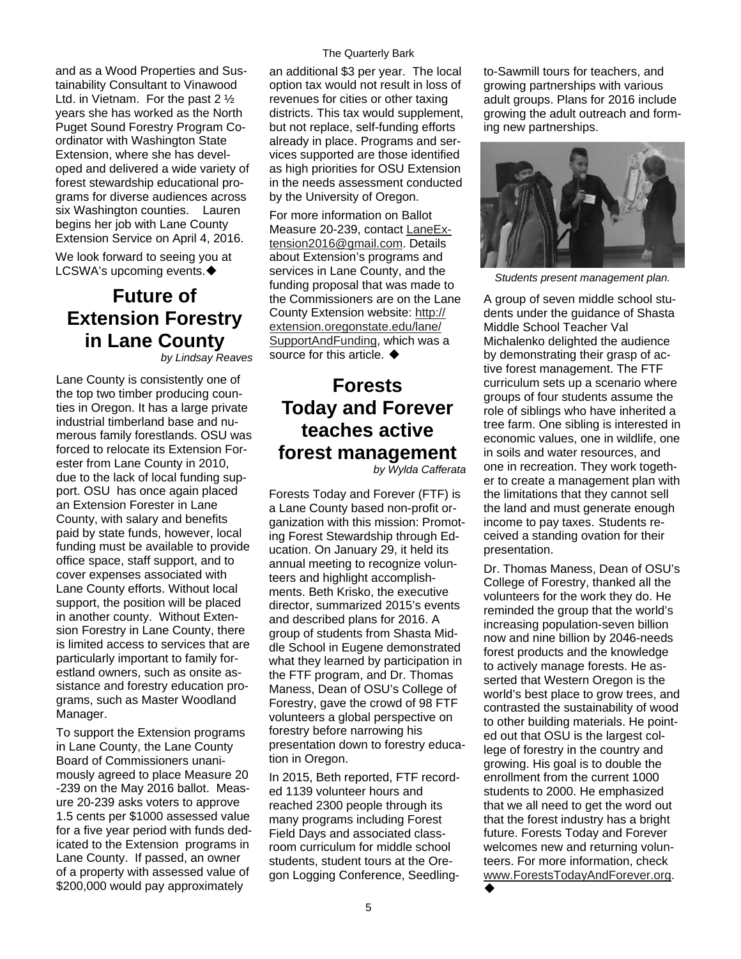and as a Wood Properties and Sustainability Consultant to Vinawood Ltd. in Vietnam. For the past 2 ½ years she has worked as the North Puget Sound Forestry Program Coordinator with Washington State Extension, where she has developed and delivered a wide variety of forest stewardship educational programs for diverse audiences across six Washington counties. Lauren begins her job with Lane County Extension Service on April 4, 2016.

We look forward to seeing you at

### **Future of Extension Forestry in Lane County**

*by Lindsay Reaves* 

Lane County is consistently one of the top two timber producing counties in Oregon. It has a large private industrial timberland base and numerous family forestlands. OSU was forced to relocate its Extension Forester from Lane County in 2010, due to the lack of local funding support. OSU has once again placed an Extension Forester in Lane County, with salary and benefits paid by state funds, however, local funding must be available to provide office space, staff support, and to cover expenses associated with Lane County efforts. Without local support, the position will be placed in another county. Without Extension Forestry in Lane County, there is limited access to services that are particularly important to family forestland owners, such as onsite assistance and forestry education programs, such as Master Woodland Manager.

To support the Extension programs in Lane County, the Lane County Board of Commissioners unanimously agreed to place Measure 20 -239 on the May 2016 ballot. Measure 20-239 asks voters to approve 1.5 cents per \$1000 assessed value for a five year period with funds dedicated to the Extension programs in Lane County. If passed, an owner of a property with assessed value of \$200,000 would pay approximately

#### The Quarterly Bark

an additional \$3 per year. The local option tax would not result in loss of revenues for cities or other taxing districts. This tax would supplement, but not replace, self-funding efforts already in place. Programs and services supported are those identified as high priorities for OSU Extension in the needs assessment conducted by the University of Oregon.

For more information on Ballot Measure 20-239, contact [LaneEx](mailto:LaneExtension2016@gmail.com)[tension2016@gmail.com.](mailto:LaneExtension2016@gmail.com) Details about Extension's programs and services in Lane County, and the LCSWA's upcoming events. *Students present management plan.* funding proposal that was made to the Commissioners are on the Lane County Extension website: [http://](http://extension.oregonstate.edu/lane/SupportAndFunding) [extension.oregonstate.edu/lane/](http://extension.oregonstate.edu/lane/SupportAndFunding) [SupportAndFunding](http://extension.oregonstate.edu/lane/SupportAndFunding), which was a source for this article.  $\blacklozenge$ 

### **Forests Today and Forever teaches active forest management**

*by Wylda Cafferata* 

Forests Today and Forever (FTF) is a Lane County based non-profit organization with this mission: Promoting Forest Stewardship through Education. On January 29, it held its annual meeting to recognize volunteers and highlight accomplishments. Beth Krisko, the executive director, summarized 2015's events and described plans for 2016. A group of students from Shasta Middle School in Eugene demonstrated what they learned by participation in the FTF program, and Dr. Thomas Maness, Dean of OSU's College of Forestry, gave the crowd of 98 FTF volunteers a global perspective on forestry before narrowing his presentation down to forestry education in Oregon.

In 2015, Beth reported, FTF recorded 1139 volunteer hours and reached 2300 people through its many programs including Forest Field Days and associated classroom curriculum for middle school students, student tours at the Oregon Logging Conference, Seedlingto-Sawmill tours for teachers, and growing partnerships with various adult groups. Plans for 2016 include growing the adult outreach and forming new partnerships.



A group of seven middle school students under the guidance of Shasta Middle School Teacher Val Michalenko delighted the audience by demonstrating their grasp of active forest management. The FTF curriculum sets up a scenario where groups of four students assume the role of siblings who have inherited a tree farm. One sibling is interested in economic values, one in wildlife, one in soils and water resources, and one in recreation. They work together to create a management plan with the limitations that they cannot sell the land and must generate enough income to pay taxes. Students received a standing ovation for their presentation.

Dr. Thomas Maness, Dean of OSU's College of Forestry, thanked all the volunteers for the work they do. He reminded the group that the world's increasing population-seven billion now and nine billion by 2046-needs forest products and the knowledge to actively manage forests. He asserted that Western Oregon is the world's best place to grow trees, and contrasted the sustainability of wood to other building materials. He pointed out that OSU is the largest college of forestry in the country and growing. His goal is to double the enrollment from the current 1000 students to 2000. He emphasized that we all need to get the word out that the forest industry has a bright future. Forests Today and Forever welcomes new and returning volunteers. For more information, check [www.ForestsTodayAndForever.org.](http://www.ForestsTodayAndForever.org)

٠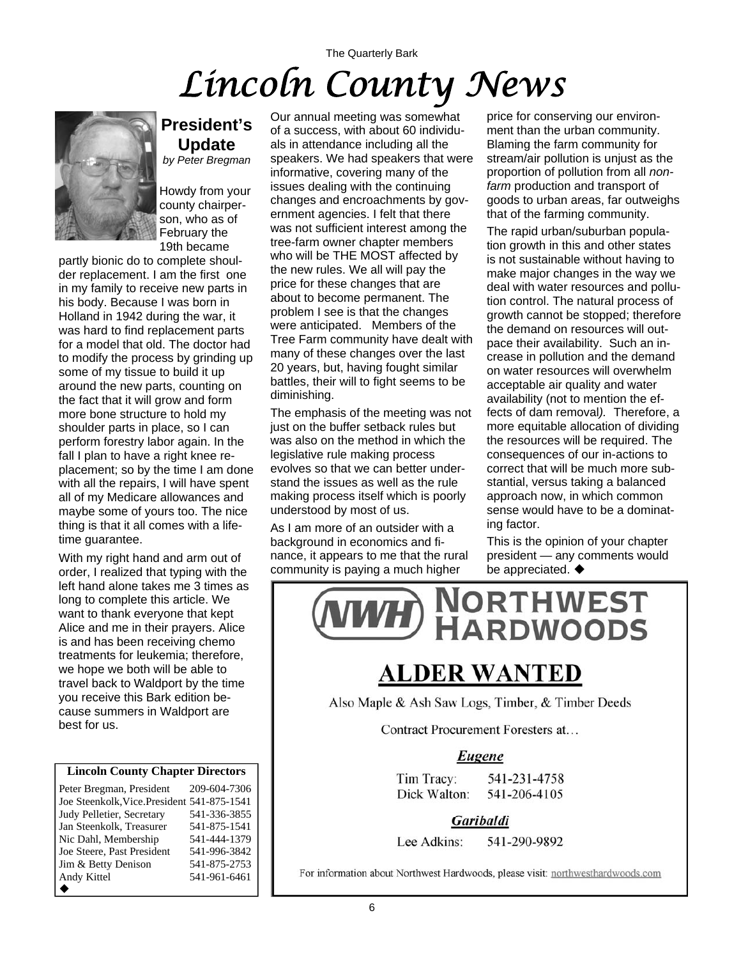# The Quarterly Bark *Lincoln County News*



### **President's Update**

*by Peter Bregman* 

Howdy from your county chairperson, who as of February the 19th became

partly bionic do to complete shoulder replacement. I am the first one in my family to receive new parts in his body. Because I was born in Holland in 1942 during the war, it was hard to find replacement parts for a model that old. The doctor had to modify the process by grinding up some of my tissue to build it up around the new parts, counting on the fact that it will grow and form more bone structure to hold my shoulder parts in place, so I can perform forestry labor again. In the fall I plan to have a right knee replacement; so by the time I am done with all the repairs, I will have spent all of my Medicare allowances and maybe some of yours too. The nice thing is that it all comes with a lifetime guarantee.

With my right hand and arm out of order, I realized that typing with the left hand alone takes me 3 times as long to complete this article. We want to thank everyone that kept Alice and me in their prayers. Alice is and has been receiving chemo treatments for leukemia; therefore, we hope we both will be able to travel back to Waldport by the time you receive this Bark edition because summers in Waldport are best for us.

#### **Lincoln County Chapter Directors**

| Peter Bregman, President                    | 209-604-7306 |
|---------------------------------------------|--------------|
| Joe Steenkolk, Vice. President 541-875-1541 |              |
| Judy Pelletier, Secretary                   | 541-336-3855 |
| Jan Steenkolk, Treasurer                    | 541-875-1541 |
| Nic Dahl, Membership                        | 541-444-1379 |
| Joe Steere, Past President                  | 541-996-3842 |
| Jim & Betty Denison                         | 541-875-2753 |
| Andy Kittel                                 | 541-961-6461 |
|                                             |              |

Our annual meeting was somewhat of a success, with about 60 individuals in attendance including all the speakers. We had speakers that were informative, covering many of the issues dealing with the continuing changes and encroachments by government agencies. I felt that there was not sufficient interest among the tree-farm owner chapter members who will be THE MOST affected by the new rules. We all will pay the price for these changes that are about to become permanent. The problem I see is that the changes were anticipated. Members of the Tree Farm community have dealt with many of these changes over the last 20 years, but, having fought similar battles, their will to fight seems to be diminishing.

The emphasis of the meeting was not just on the buffer setback rules but was also on the method in which the legislative rule making process evolves so that we can better understand the issues as well as the rule making process itself which is poorly understood by most of us.

As I am more of an outsider with a background in economics and finance, it appears to me that the rural community is paying a much higher

price for conserving our environment than the urban community. Blaming the farm community for stream/air pollution is unjust as the proportion of pollution from all *nonfarm* production and transport of goods to urban areas, far outweighs that of the farming community.

The rapid urban/suburban population growth in this and other states is not sustainable without having to make major changes in the way we deal with water resources and pollution control. The natural process of growth cannot be stopped; therefore the demand on resources will outpace their availability. Such an increase in pollution and the demand on water resources will overwhelm acceptable air quality and water availability (not to mention the effects of dam removal*).* Therefore, a more equitable allocation of dividing the resources will be required. The consequences of our in-actions to correct that will be much more substantial, versus taking a balanced approach now, in which common sense would have to be a dominating factor.

This is the opinion of your chapter president — any comments would be appreciated.  $\blacklozenge$ 



## **ALDER WANTED**

Also Maple & Ash Saw Logs, Timber, & Timber Deeds

Contract Procurement Foresters at...

#### Eugene

Tim Tracy: 541-231-4758 Dick Walton: 541-206-4105

Garibaldi

Lee Adkins: 541-290-9892

For information about Northwest Hardwoods, please visit: northwesthardwoods.com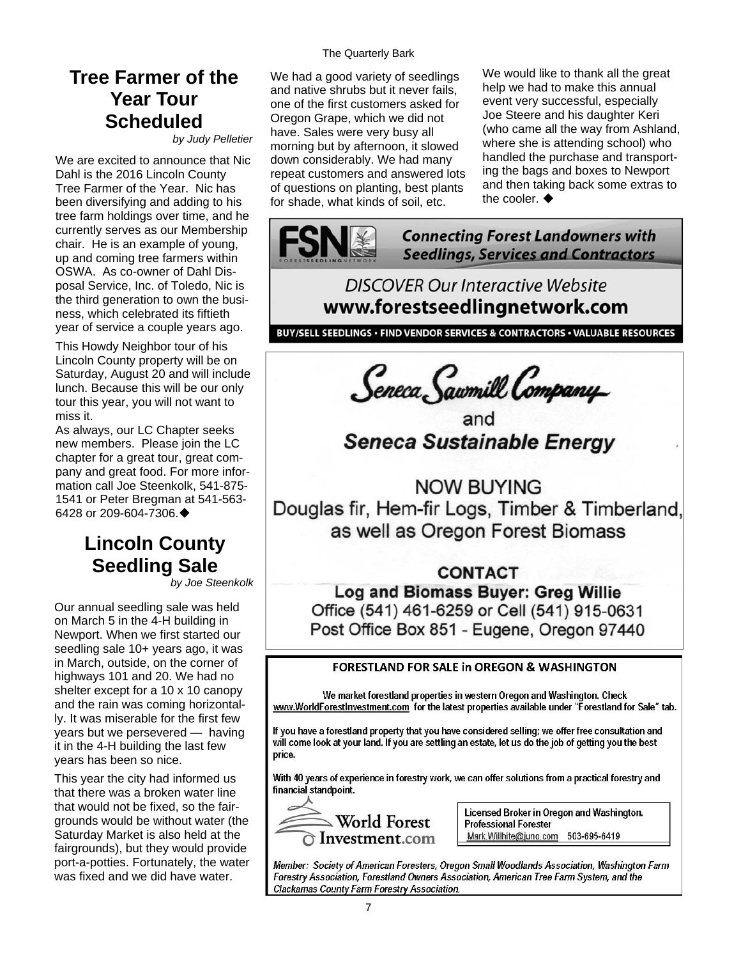### **Tree Farmer of the Year Tour Scheduled**

*by Judy Pelletier* 

We are excited to announce that Nic Dahl is the 2016 Lincoln County Tree Farmer of the Year. Nic has been diversifying and adding to his tree farm holdings over time, and he currently serves as our Membership chair. He is an example of young, up and coming tree farmers within OSWA. As co-owner of Dahl Disposal Service, Inc. of Toledo, Nic is the third generation to own the business, which celebrated its fiftieth year of service a couple years ago.

This Howdy Neighbor tour of his Lincoln County property will be on Saturday, August 20 and will include lunch. Because this will be our only tour this year, you will not want to miss it.

As always, our LC Chapter seeks new members. Please join the LC chapter for a great tour, great company and great food. For more information call Joe Steenkolk, 541-875- 1541 or Peter Bregman at 541-563- 6428 or 209-604-7306.

## **Lincoln County Seedling Sale**

*by Joe Steenkolk* 

Our annual seedling sale was held on March 5 in the 4-H building in Newport. When we first started our seedling sale 10+ years ago, it was in March, outside, on the corner of highways 101 and 20. We had no shelter except for a 10 x 10 canopy and the rain was coming horizontally. It was miserable for the first few years but we persevered — having it in the 4-H building the last few years has been so nice.

This year the city had informed us that there was a broken water line that would not be fixed, so the fairgrounds would be without water (the Saturday Market is also held at the fairgrounds), but they would provide port-a-potties. Fortunately, the water was fixed and we did have water.

The Quarterly Bark

We had a good variety of seedlings and native shrubs but it never fails, one of the first customers asked for Oregon Grape, which we did not have. Sales were very busy all morning but by afternoon, it slowed down considerably. We had many repeat customers and answered lots of questions on planting, best plants for shade, what kinds of soil, etc.

We would like to thank all the great help we had to make this annual event very successful, especially Joe Steere and his daughter Keri (who came all the way from Ashland, where she is attending school) who handled the purchase and transporting the bags and boxes to Newport and then taking back some extras to the cooler.  $\blacklozenge$ 



### **DISCOVER Our Interactive Website** www.forestseedlingnetwork.com

BUY/SELL SEEDLINGS · FIND VENDOR SERVICES & CONTRACTORS · VALUABLE RESOURCES

Seneca Sawmill Company<br>and<br>Seneca Sustainable Energy

**NOW BUYING** Douglas fir, Hem-fir Logs, Timber & Timberland, as well as Oregon Forest Biomass

#### **CONTACT**

Log and Biomass Buyer: Greg Willie Office (541) 461-6259 or Cell (541) 915-0631 Post Office Box 851 - Eugene, Oregon 97440

#### **FORESTLAND FOR SALE in OREGON & WASHINGTON**

We market forestland properties in western Oregon and Washington. Check www.WorldForestInvestment.com for the latest properties available under "Forestland for Sale" tab.

If you have a forestland property that you have considered selling; we offer free consultation and will come look at your land. If you are settling an estate, let us do the job of getting you the best price.

With 40 years of experience in forestry work, we can offer solutions from a practical forestry and financial standpoint.



Licensed Broker in Oregon and Washington. **Professional Forester** Mark.Willhite@juno.com 503-695-6419

Member: Society of American Foresters, Oregon Small Woodlands Association, Washington Farm Forestry Association, Forestland Owners Association, American Tree Farm System, and the Clackamas County Farm Forestry Association.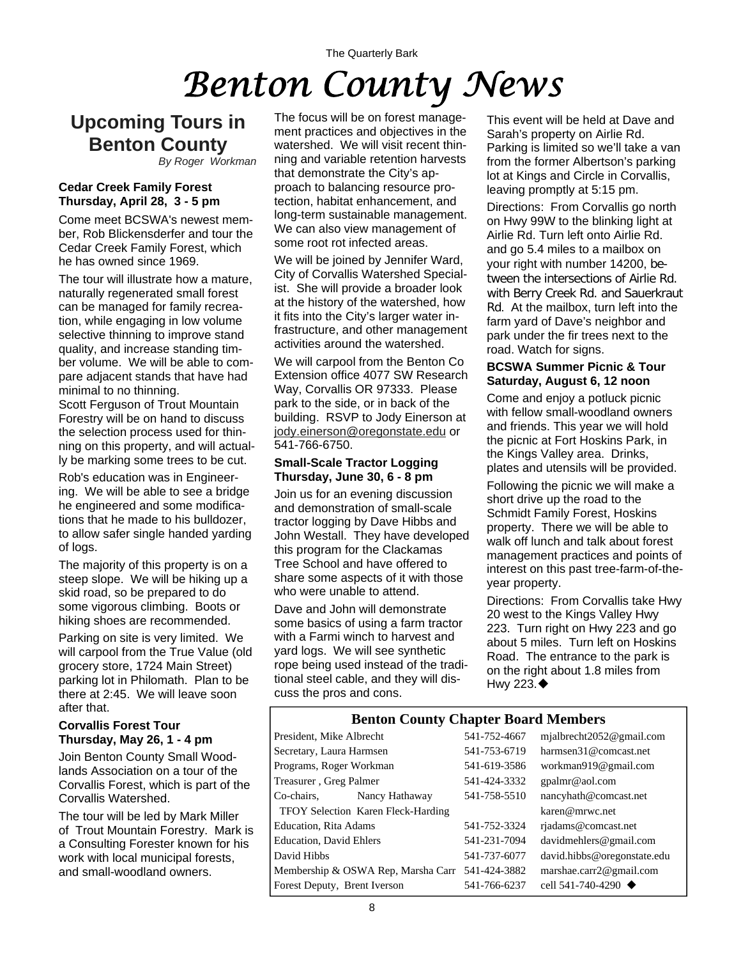# The Quarterly Bark *Benton County News*

### **Upcoming Tours in Benton County**

*By Roger Workman*

#### **Cedar Creek Family Forest Thursday, April 28, 3 - 5 pm**

Come meet BCSWA's newest member, Rob Blickensderfer and tour the Cedar Creek Family Forest, which he has owned since 1969.

The tour will illustrate how a mature, naturally regenerated small forest can be managed for family recreation, while engaging in low volume selective thinning to improve stand quality, and increase standing timber volume. We will be able to compare adjacent stands that have had minimal to no thinning.

Scott Ferguson of Trout Mountain Forestry will be on hand to discuss the selection process used for thinning on this property, and will actually be marking some trees to be cut.

Rob's education was in Engineering. We will be able to see a bridge he engineered and some modifications that he made to his bulldozer, to allow safer single handed yarding of logs.

The majority of this property is on a steep slope. We will be hiking up a skid road, so be prepared to do some vigorous climbing. Boots or hiking shoes are recommended.

Parking on site is very limited. We will carpool from the True Value (old grocery store, 1724 Main Street) parking lot in Philomath. Plan to be there at 2:45. We will leave soon after that.

#### **Corvallis Forest Tour Thursday, May 26, 1 - 4 pm**

Join Benton County Small Woodlands Association on a tour of the Corvallis Forest, which is part of the Corvallis Watershed.

The tour will be led by Mark Miller of Trout Mountain Forestry. Mark is a Consulting Forester known for his work with local municipal forests, and small-woodland owners.

The focus will be on forest management practices and objectives in the watershed. We will visit recent thinning and variable retention harvests that demonstrate the City's approach to balancing resource protection, habitat enhancement, and long-term sustainable management. We can also view management of some root rot infected areas.

We will be joined by Jennifer Ward, City of Corvallis Watershed Specialist. She will provide a broader look at the history of the watershed, how it fits into the City's larger water infrastructure, and other management activities around the watershed.

We will carpool from the Benton Co Extension office 4077 SW Research Way, Corvallis OR 97333. Please park to the side, or in back of the building. RSVP to Jody Einerson at [jody.einerson@oregonstate.edu](mailto:jody.einerson@oregonstate.edu) or 541-766-6750.

#### **Small-Scale Tractor Logging Thursday, June 30, 6 - 8 pm**

Join us for an evening discussion and demonstration of small-scale tractor logging by Dave Hibbs and John Westall. They have developed this program for the Clackamas Tree School and have offered to share some aspects of it with those who were unable to attend.

Dave and John will demonstrate some basics of using a farm tractor with a Farmi winch to harvest and yard logs. We will see synthetic rope being used instead of the traditional steel cable, and they will discuss the pros and cons.

This event will be held at Dave and Sarah's property on Airlie Rd. Parking is limited so we'll take a van from the former Albertson's parking lot at Kings and Circle in Corvallis, leaving promptly at 5:15 pm.

Directions: From Corvallis go north on Hwy 99W to the blinking light at Airlie Rd. Turn left onto Airlie Rd. and go 5.4 miles to a mailbox on your right with number 14200, between the intersections of Airlie Rd. with Berry Creek Rd. and Sauerkraut Rd. At the mailbox, turn left into the farm yard of Dave's neighbor and park under the fir trees next to the road. Watch for signs.

#### **BCSWA Summer Picnic & Tour Saturday, August 6, 12 noon**

Come and enjoy a potluck picnic with fellow small-woodland owners and friends. This year we will hold the picnic at Fort Hoskins Park, in the Kings Valley area. Drinks, plates and utensils will be provided.

Following the picnic we will make a short drive up the road to the Schmidt Family Forest, Hoskins property. There we will be able to walk off lunch and talk about forest management practices and points of interest on this past tree-farm-of-theyear property.

Directions: From Corvallis take Hwy 20 west to the Kings Valley Hwy 223. Turn right on Hwy 223 and go about 5 miles. Turn left on Hoskins Road. The entrance to the park is on the right about 1.8 miles from Hwy 223. $\blacklozenge$ 

#### **Benton County Chapter Board Members**

| President, Mike Albrecht           |                                                 | 541-752-4667 | mjalbrecht2052@gmail.com          |
|------------------------------------|-------------------------------------------------|--------------|-----------------------------------|
| Secretary, Laura Harmsen           |                                                 | 541-753-6719 | harmsen31@comcast.net             |
| Programs, Roger Workman            |                                                 | 541-619-3586 | workman919@gmail.com              |
| Treasurer, Greg Palmer             |                                                 | 541-424-3332 | gpalmr@aol.com                    |
| Co-chairs,                         | Nancy Hathaway                                  | 541-758-5510 | nancyhath@comcast.net             |
| TFOY Selection Karen Fleck-Harding |                                                 |              | karen@mrwc.net                    |
| Education, Rita Adams              |                                                 | 541-752-3324 | riadams@comcast.net               |
| <b>Education, David Ehlers</b>     |                                                 | 541-231-7094 | davidmehlers@gmail.com            |
| David Hibbs                        |                                                 | 541-737-6077 | david.hibbs@oregonstate.edu       |
|                                    | Membership & OSWA Rep, Marsha Carr 541-424-3882 |              | marshae.carr2@gmail.com           |
| Forest Deputy, Brent Iverson       |                                                 | 541-766-6237 | cell 541-740-4290 $\triangleleft$ |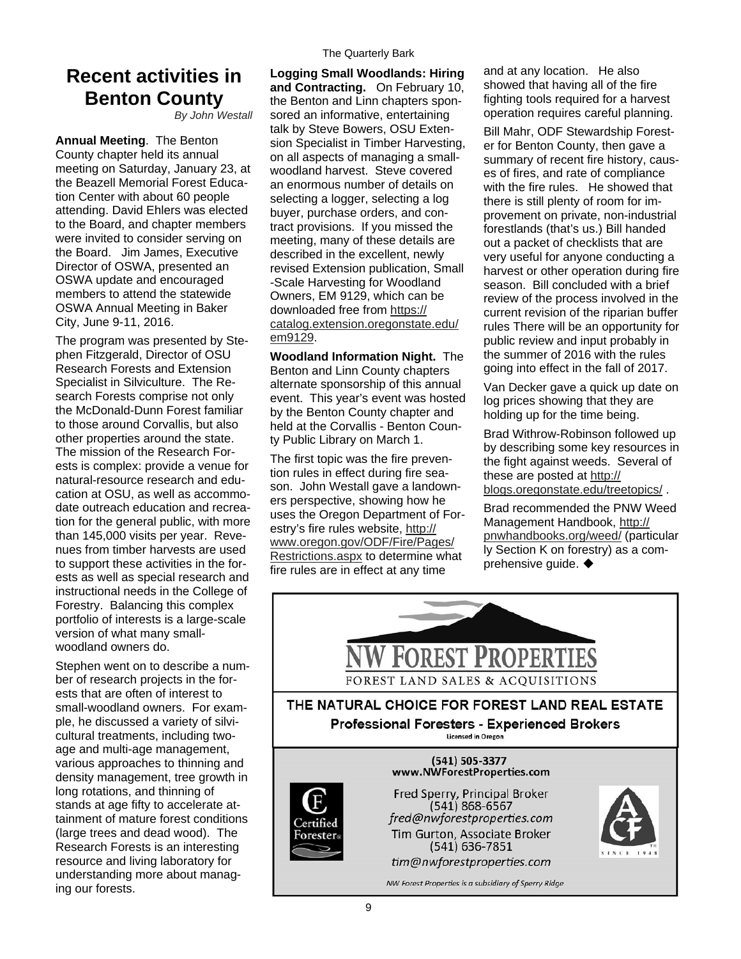### **Recent activities in Benton County**

*By John Westall*

**Annual Meeting**. The Benton County chapter held its annual meeting on Saturday, January 23, at the Beazell Memorial Forest Education Center with about 60 people attending. David Ehlers was elected to the Board, and chapter members were invited to consider serving on the Board. Jim James, Executive Director of OSWA, presented an OSWA update and encouraged members to attend the statewide OSWA Annual Meeting in Baker City, June 9-11, 2016.

The program was presented by Stephen Fitzgerald, Director of OSU Research Forests and Extension Specialist in Silviculture. The Research Forests comprise not only the McDonald-Dunn Forest familiar to those around Corvallis, but also other properties around the state. The mission of the Research Forests is complex: provide a venue for natural-resource research and education at OSU, as well as accommodate outreach education and recreation for the general public, with more than 145,000 visits per year. Revenues from timber harvests are used to support these activities in the forests as well as special research and instructional needs in the College of Forestry. Balancing this complex portfolio of interests is a large-scale version of what many smallwoodland owners do.

Stephen went on to describe a number of research projects in the forests that are often of interest to small-woodland owners. For example, he discussed a variety of silvicultural treatments, including twoage and multi-age management, various approaches to thinning and density management, tree growth in long rotations, and thinning of stands at age fifty to accelerate attainment of mature forest conditions (large trees and dead wood). The Research Forests is an interesting resource and living laboratory for understanding more about managing our forests.

**Logging Small Woodlands: Hiring and Contracting.** On February 10, the Benton and Linn chapters sponsored an informative, entertaining talk by Steve Bowers, OSU Extension Specialist in Timber Harvesting, on all aspects of managing a smallwoodland harvest. Steve covered an enormous number of details on selecting a logger, selecting a log buyer, purchase orders, and contract provisions. If you missed the meeting, many of these details are described in the excellent, newly revised Extension publication, Small -Scale Harvesting for Woodland Owners, EM 9129, which can be downloaded free from [https://](https://catalog.extension.oregonstate.edu/em9129) [catalog.extension.oregonstate.edu/](https://catalog.extension.oregonstate.edu/em9129) [em9129](https://catalog.extension.oregonstate.edu/em9129).

**Woodland Information Night.** The Benton and Linn County chapters alternate sponsorship of this annual event. This year's event was hosted by the Benton County chapter and held at the Corvallis - Benton County Public Library on March 1.

The first topic was the fire prevention rules in effect during fire season. John Westall gave a landowners perspective, showing how he uses the Oregon Department of Forestry's fire rules website, [http://](http://www.oregon.gov/ODF/Fire/Pages/Restrictions.aspx) [www.oregon.gov/ODF/Fire/Pages/](http://www.oregon.gov/ODF/Fire/Pages/Restrictions.aspx) [Restrictions.aspx](http://www.oregon.gov/ODF/Fire/Pages/Restrictions.aspx) to determine what fire rules are in effect at any time

and at any location. He also showed that having all of the fire fighting tools required for a harvest operation requires careful planning.

Bill Mahr, ODF Stewardship Forester for Benton County, then gave a summary of recent fire history, causes of fires, and rate of compliance with the fire rules. He showed that there is still plenty of room for improvement on private, non-industrial forestlands (that's us.) Bill handed out a packet of checklists that are very useful for anyone conducting a harvest or other operation during fire season. Bill concluded with a brief review of the process involved in the current revision of the riparian buffer rules There will be an opportunity for public review and input probably in the summer of 2016 with the rules going into effect in the fall of 2017.

Van Decker gave a quick up date on log prices showing that they are holding up for the time being.

Brad Withrow-Robinson followed up by describing some key resources in the fight against weeds. Several of these are posted at [http://](http://blogs.oregonstate.edu/treetopics/) [blogs.oregonstate.edu/treetopics/](http://blogs.oregonstate.edu/treetopics/) .

Brad recommended the PNW Weed Management Handbook, [http://](http://pnwhandbooks.org/weed/) [pnwhandbooks.org/weed/](http://pnwhandbooks.org/weed/) (particular ly Section K on forestry) as a comprehensive guide.

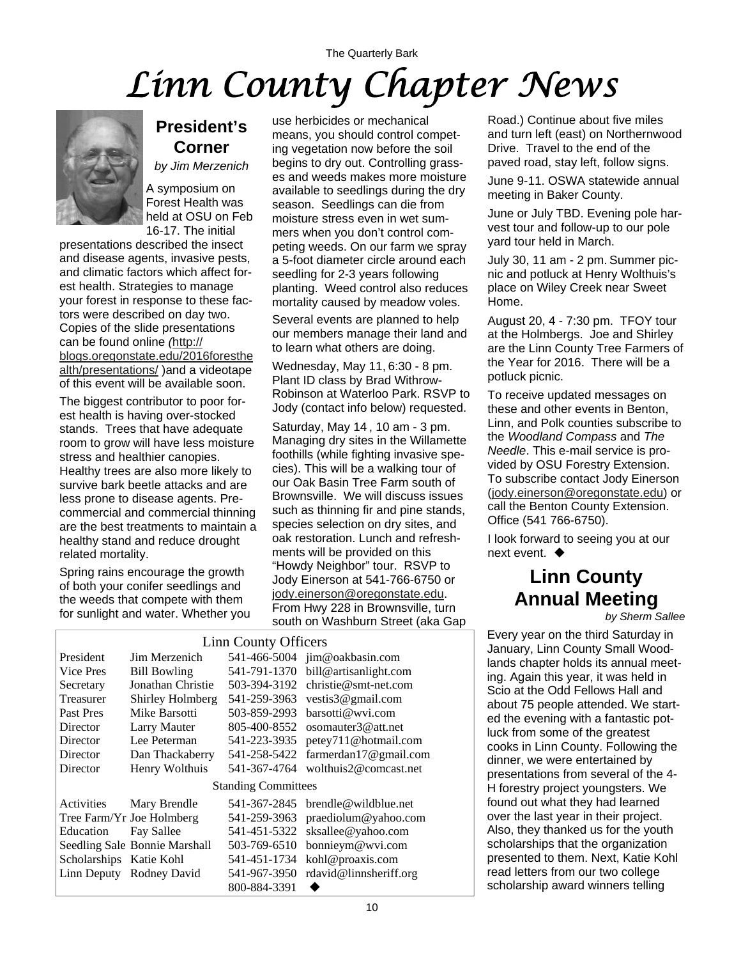# The Quarterly Bark *Linn County Chapter News*



### **President's Corner**

*by Jim Merzenich*

A symposium on Forest Health was held at OSU on Feb 16-17. The initial

presentations described the insect and disease agents, invasive pests, and climatic factors which affect forest health. Strategies to manage your forest in response to these factors were described on day two. Copies of the slide presentations can be found online *(*[http://](http://blogs.oregonstate.edu/2016foresthealth/presentations/) [blogs.oregonstate.edu/2016foresthe](http://blogs.oregonstate.edu/2016foresthealth/presentations/) [alth/presentations/](http://blogs.oregonstate.edu/2016foresthealth/presentations/) )and a videotape of this event will be available soon.

The biggest contributor to poor forest health is having over-stocked stands. Trees that have adequate room to grow will have less moisture stress and healthier canopies. Healthy trees are also more likely to survive bark beetle attacks and are less prone to disease agents. Precommercial and commercial thinning are the best treatments to maintain a healthy stand and reduce drought related mortality.

Spring rains encourage the growth of both your conifer seedlings and the weeds that compete with them for sunlight and water. Whether you

use herbicides or mechanical means, you should control competing vegetation now before the soil begins to dry out. Controlling grasses and weeds makes more moisture available to seedlings during the dry season. Seedlings can die from moisture stress even in wet summers when you don't control competing weeds. On our farm we spray a 5-foot diameter circle around each seedling for 2-3 years following planting. Weed control also reduces mortality caused by meadow voles.

Several events are planned to help our members manage their land and to learn what others are doing.

Wednesday, May 11, 6:30 - 8 pm. Plant ID class by Brad Withrow-Robinson at Waterloo Park. RSVP to Jody (contact info below) requested.

Saturday, May 14 , 10 am - 3 pm. Managing dry sites in the Willamette foothills (while fighting invasive species). This will be a walking tour of our Oak Basin Tree Farm south of Brownsville. We will discuss issues such as thinning fir and pine stands, species selection on dry sites, and oak restoration. Lunch and refreshments will be provided on this "Howdy Neighbor" tour. RSVP to Jody Einerson at 541-766-6750 or j[ody.einerson@oregonstate.edu](mailto:Jody.Einerson@Oregonstate.edu). From Hwy 228 in Brownsville, turn south on Washburn Street (aka Gap

| Linn County Officers       |                               |              |                        |  |
|----------------------------|-------------------------------|--------------|------------------------|--|
| President                  | Jim Merzenich                 | 541-466-5004 | jim@oakbasin.com       |  |
| Vice Pres                  | <b>Bill Bowling</b>           | 541-791-1370 | bill@artisanlight.com  |  |
| Secretary                  | Jonathan Christie             | 503-394-3192 | $christie@smt-net.com$ |  |
| Treasurer                  | Shirley Holmberg              | 541-259-3963 | vestis $3@$ gmail.com  |  |
| Past Pres                  | Mike Barsotti                 | 503-859-2993 | barsotti@wvi.com       |  |
| Director                   | <b>Larry Mauter</b>           | 805-400-8552 | osomauter3@att.net     |  |
| Director                   | Lee Peterman                  | 541-223-3935 | petey711@hotmail.com   |  |
| Director                   | Dan Thackaberry               | 541-258-5422 | farmerdan17@gmail.com  |  |
| Director                   | Henry Wolthuis                | 541-367-4764 | wolthuis2@comcast.net  |  |
| <b>Standing Committees</b> |                               |              |                        |  |
| Activities                 | Mary Brendle                  | 541-367-2845 | brendle@wildblue.net   |  |
|                            | Tree Farm/Yr Joe Holmberg     | 541-259-3963 | praediolum@yahoo.com   |  |
| Education                  | Fay Sallee                    | 541-451-5322 | sksallee@yahoo.com     |  |
|                            | Seedling Sale Bonnie Marshall | 503-769-6510 | bonnieym@wvi.com       |  |
| Scholarships Katie Kohl    |                               | 541-451-1734 | kohl@proaxis.com       |  |
| Linn Deputy                | Rodney David                  | 541-967-3950 | rdavid@linnsheriff.org |  |
|                            |                               | 800-884-3391 |                        |  |

Road.) Continue about five miles and turn left (east) on Northernwood Drive. Travel to the end of the paved road, stay left, follow signs.

June 9-11. OSWA statewide annual meeting in Baker County.

June or July TBD. Evening pole harvest tour and follow-up to our pole yard tour held in March.

July 30, 11 am - 2 pm. Summer picnic and potluck at Henry Wolthuis's place on Wiley Creek near Sweet Home.

August 20, 4 - 7:30 pm. TFOY tour at the Holmbergs. Joe and Shirley are the Linn County Tree Farmers of the Year for 2016. There will be a potluck picnic.

To receive updated messages on these and other events in Benton, Linn, and Polk counties subscribe to the *Woodland Compass* and *The Needle*. This e-mail service is provided by OSU Forestry Extension. To subscribe contact Jody Einerson ([jody.einerson@oregonstate.edu](mailto:jody.einerson@oregonstate.edu)) or call the Benton County Extension. Office (541 766-6750).

I look forward to seeing you at our next event. ♦

## **Linn County Annual Meeting**

*by Sherm Sallee* 

Every year on the third Saturday in January, Linn County Small Woodlands chapter holds its annual meeting. Again this year, it was held in Scio at the Odd Fellows Hall and about 75 people attended. We started the evening with a fantastic potluck from some of the greatest cooks in Linn County. Following the dinner, we were entertained by presentations from several of the 4- H forestry project youngsters. We found out what they had learned over the last year in their project. Also, they thanked us for the youth scholarships that the organization presented to them. Next, Katie Kohl read letters from our two college scholarship award winners telling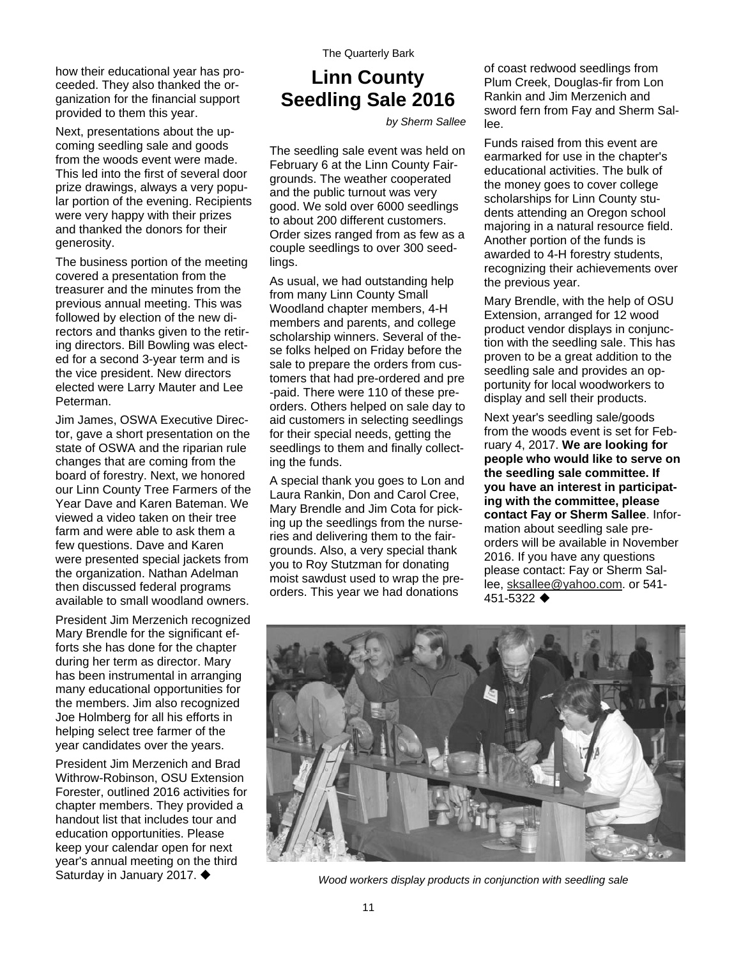how their educational year has proceeded. They also thanked the organization for the financial support provided to them this year.

Next, presentations about the upcoming seedling sale and goods from the woods event were made. This led into the first of several door prize drawings, always a very popular portion of the evening. Recipients were very happy with their prizes and thanked the donors for their generosity.

The business portion of the meeting covered a presentation from the treasurer and the minutes from the previous annual meeting. This was followed by election of the new directors and thanks given to the retiring directors. Bill Bowling was elected for a second 3-year term and is the vice president. New directors elected were Larry Mauter and Lee Peterman.

Jim James, OSWA Executive Director, gave a short presentation on the state of OSWA and the riparian rule changes that are coming from the board of forestry. Next, we honored our Linn County Tree Farmers of the Year Dave and Karen Bateman. We viewed a video taken on their tree farm and were able to ask them a few questions. Dave and Karen were presented special jackets from the organization. Nathan Adelman then discussed federal programs available to small woodland owners.

President Jim Merzenich recognized Mary Brendle for the significant efforts she has done for the chapter during her term as director. Mary has been instrumental in arranging many educational opportunities for the members. Jim also recognized Joe Holmberg for all his efforts in helping select tree farmer of the year candidates over the years.

President Jim Merzenich and Brad Withrow-Robinson, OSU Extension Forester, outlined 2016 activities for chapter members. They provided a handout list that includes tour and education opportunities. Please keep your calendar open for next year's annual meeting on the third

### **Linn County Seedling Sale 2016**

*by Sherm Sallee* 

The seedling sale event was held on February 6 at the Linn County Fairgrounds. The weather cooperated and the public turnout was very good. We sold over 6000 seedlings to about 200 different customers. Order sizes ranged from as few as a couple seedlings to over 300 seedlings.

As usual, we had outstanding help from many Linn County Small Woodland chapter members, 4-H members and parents, and college scholarship winners. Several of these folks helped on Friday before the sale to prepare the orders from customers that had pre-ordered and pre -paid. There were 110 of these preorders. Others helped on sale day to aid customers in selecting seedlings for their special needs, getting the seedlings to them and finally collecting the funds.

A special thank you goes to Lon and Laura Rankin, Don and Carol Cree, Mary Brendle and Jim Cota for picking up the seedlings from the nurseries and delivering them to the fairgrounds. Also, a very special thank you to Roy Stutzman for donating moist sawdust used to wrap the preorders. This year we had donations

of coast redwood seedlings from Plum Creek, Douglas-fir from Lon Rankin and Jim Merzenich and sword fern from Fay and Sherm Sallee.

Funds raised from this event are earmarked for use in the chapter's educational activities. The bulk of the money goes to cover college scholarships for Linn County students attending an Oregon school majoring in a natural resource field. Another portion of the funds is awarded to 4-H forestry students, recognizing their achievements over the previous year.

Mary Brendle, with the help of OSU Extension, arranged for 12 wood product vendor displays in conjunction with the seedling sale. This has proven to be a great addition to the seedling sale and provides an opportunity for local woodworkers to display and sell their products.

Next year's seedling sale/goods from the woods event is set for February 4, 2017. **We are looking for people who would like to serve on the seedling sale committee. If you have an interest in participating with the committee, please contact Fay or Sherm Sallee**. Information about seedling sale preorders will be available in November 2016. If you have any questions please contact: Fay or Sherm Sallee, [sksallee@yahoo.com](mailto:sksallee@yahoo.com). or 541- 451-5322



Saturday in January 2017. *Wood workers display products in conjunction with seedling sale.*